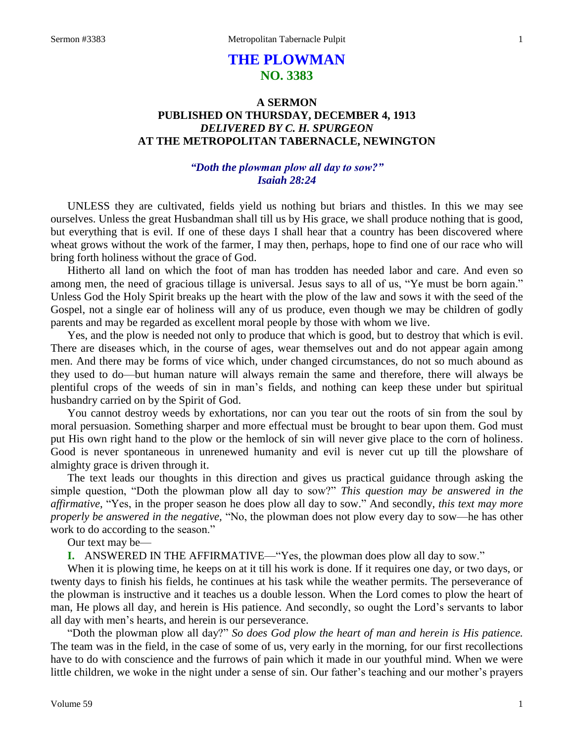# **THE PLOWMAN NO. 3383**

# **A SERMON PUBLISHED ON THURSDAY, DECEMBER 4, 1913** *DELIVERED BY C. H. SPURGEON* **AT THE METROPOLITAN TABERNACLE, NEWINGTON**

## *"Doth the plowman plow all day to sow?" Isaiah 28:24*

UNLESS they are cultivated, fields yield us nothing but briars and thistles. In this we may see ourselves. Unless the great Husbandman shall till us by His grace, we shall produce nothing that is good, but everything that is evil. If one of these days I shall hear that a country has been discovered where wheat grows without the work of the farmer, I may then, perhaps, hope to find one of our race who will bring forth holiness without the grace of God.

Hitherto all land on which the foot of man has trodden has needed labor and care. And even so among men, the need of gracious tillage is universal. Jesus says to all of us, "Ye must be born again." Unless God the Holy Spirit breaks up the heart with the plow of the law and sows it with the seed of the Gospel, not a single ear of holiness will any of us produce, even though we may be children of godly parents and may be regarded as excellent moral people by those with whom we live.

Yes, and the plow is needed not only to produce that which is good, but to destroy that which is evil. There are diseases which, in the course of ages, wear themselves out and do not appear again among men. And there may be forms of vice which, under changed circumstances, do not so much abound as they used to do—but human nature will always remain the same and therefore, there will always be plentiful crops of the weeds of sin in man's fields, and nothing can keep these under but spiritual husbandry carried on by the Spirit of God.

You cannot destroy weeds by exhortations, nor can you tear out the roots of sin from the soul by moral persuasion. Something sharper and more effectual must be brought to bear upon them. God must put His own right hand to the plow or the hemlock of sin will never give place to the corn of holiness. Good is never spontaneous in unrenewed humanity and evil is never cut up till the plowshare of almighty grace is driven through it.

The text leads our thoughts in this direction and gives us practical guidance through asking the simple question, "Doth the plowman plow all day to sow?" *This question may be answered in the affirmative*, "Yes, in the proper season he does plow all day to sow." And secondly, *this text may more properly be answered in the negative,* "No, the plowman does not plow every day to sow—he has other work to do according to the season."

Our text may be—

**I.** ANSWERED IN THE AFFIRMATIVE—"Yes, the plowman does plow all day to sow."

When it is plowing time, he keeps on at it till his work is done. If it requires one day, or two days, or twenty days to finish his fields, he continues at his task while the weather permits. The perseverance of the plowman is instructive and it teaches us a double lesson. When the Lord comes to plow the heart of man, He plows all day, and herein is His patience. And secondly, so ought the Lord's servants to labor all day with men's hearts, and herein is our perseverance.

"Doth the plowman plow all day?" *So does God plow the heart of man and herein is His patience.*  The team was in the field, in the case of some of us, very early in the morning, for our first recollections have to do with conscience and the furrows of pain which it made in our youthful mind. When we were little children, we woke in the night under a sense of sin. Our father's teaching and our mother's prayers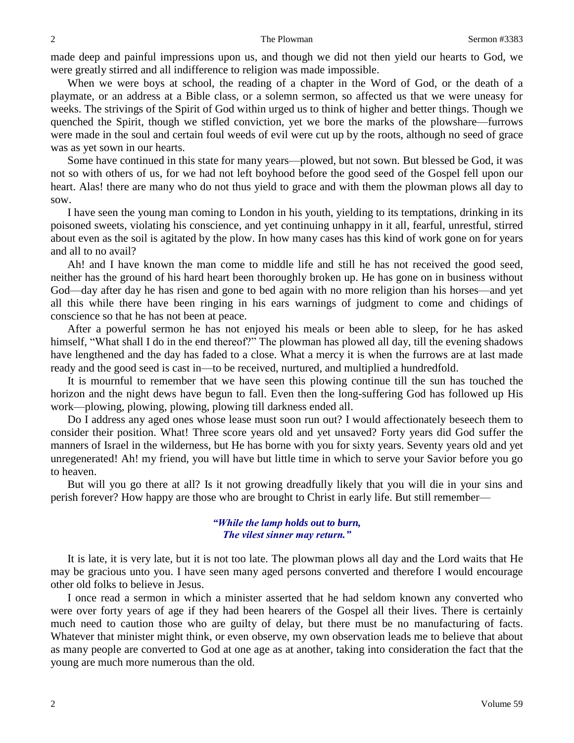made deep and painful impressions upon us, and though we did not then yield our hearts to God, we were greatly stirred and all indifference to religion was made impossible.

When we were boys at school, the reading of a chapter in the Word of God, or the death of a playmate, or an address at a Bible class, or a solemn sermon, so affected us that we were uneasy for weeks. The strivings of the Spirit of God within urged us to think of higher and better things. Though we quenched the Spirit, though we stifled conviction, yet we bore the marks of the plowshare—furrows were made in the soul and certain foul weeds of evil were cut up by the roots, although no seed of grace was as yet sown in our hearts.

Some have continued in this state for many years—plowed, but not sown. But blessed be God, it was not so with others of us, for we had not left boyhood before the good seed of the Gospel fell upon our heart. Alas! there are many who do not thus yield to grace and with them the plowman plows all day to sow.

I have seen the young man coming to London in his youth, yielding to its temptations, drinking in its poisoned sweets, violating his conscience, and yet continuing unhappy in it all, fearful, unrestful, stirred about even as the soil is agitated by the plow. In how many cases has this kind of work gone on for years and all to no avail?

Ah! and I have known the man come to middle life and still he has not received the good seed, neither has the ground of his hard heart been thoroughly broken up. He has gone on in business without God—day after day he has risen and gone to bed again with no more religion than his horses—and yet all this while there have been ringing in his ears warnings of judgment to come and chidings of conscience so that he has not been at peace.

After a powerful sermon he has not enjoyed his meals or been able to sleep, for he has asked himself, "What shall I do in the end thereof?" The plowman has plowed all day, till the evening shadows have lengthened and the day has faded to a close. What a mercy it is when the furrows are at last made ready and the good seed is cast in—to be received, nurtured, and multiplied a hundredfold.

It is mournful to remember that we have seen this plowing continue till the sun has touched the horizon and the night dews have begun to fall. Even then the long-suffering God has followed up His work—plowing, plowing, plowing, plowing till darkness ended all.

Do I address any aged ones whose lease must soon run out? I would affectionately beseech them to consider their position. What! Three score years old and yet unsaved? Forty years did God suffer the manners of Israel in the wilderness, but He has borne with you for sixty years. Seventy years old and yet unregenerated! Ah! my friend, you will have but little time in which to serve your Savior before you go to heaven.

But will you go there at all? Is it not growing dreadfully likely that you will die in your sins and perish forever? How happy are those who are brought to Christ in early life. But still remember—

#### *"While the lamp holds out to burn, The vilest sinner may return."*

It is late, it is very late, but it is not too late. The plowman plows all day and the Lord waits that He may be gracious unto you. I have seen many aged persons converted and therefore I would encourage other old folks to believe in Jesus.

I once read a sermon in which a minister asserted that he had seldom known any converted who were over forty years of age if they had been hearers of the Gospel all their lives. There is certainly much need to caution those who are guilty of delay, but there must be no manufacturing of facts. Whatever that minister might think, or even observe, my own observation leads me to believe that about as many people are converted to God at one age as at another, taking into consideration the fact that the young are much more numerous than the old.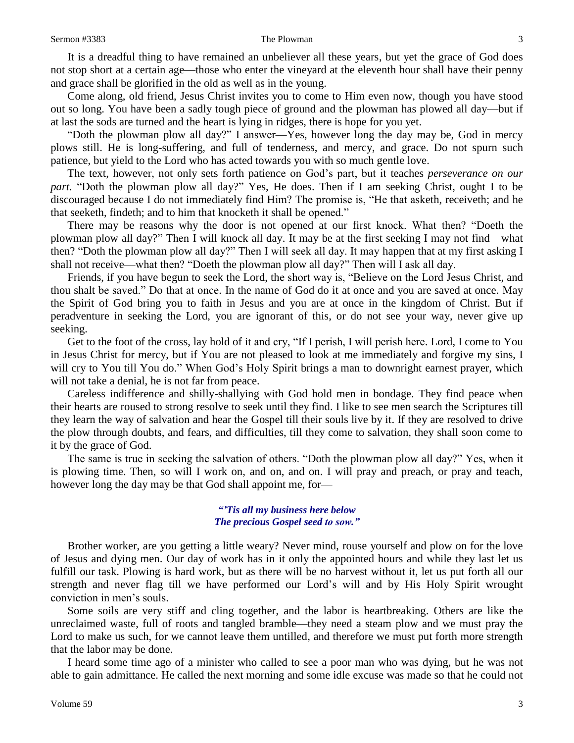It is a dreadful thing to have remained an unbeliever all these years, but yet the grace of God does not stop short at a certain age—those who enter the vineyard at the eleventh hour shall have their penny and grace shall be glorified in the old as well as in the young.

Come along, old friend, Jesus Christ invites you to come to Him even now, though you have stood out so long. You have been a sadly tough piece of ground and the plowman has plowed all day—but if at last the sods are turned and the heart is lying in ridges, there is hope for you yet.

"Doth the plowman plow all day?" I answer—Yes, however long the day may be, God in mercy plows still. He is long-suffering, and full of tenderness, and mercy, and grace. Do not spurn such patience, but yield to the Lord who has acted towards you with so much gentle love.

The text, however, not only sets forth patience on God's part, but it teaches *perseverance on our part.* "Doth the plowman plow all day?" Yes, He does. Then if I am seeking Christ, ought I to be discouraged because I do not immediately find Him? The promise is, "He that asketh, receiveth; and he that seeketh, findeth; and to him that knocketh it shall be opened."

There may be reasons why the door is not opened at our first knock. What then? "Doeth the plowman plow all day?" Then I will knock all day. It may be at the first seeking I may not find—what then? "Doth the plowman plow all day?" Then I will seek all day. It may happen that at my first asking I shall not receive—what then? "Doeth the plowman plow all day?" Then will I ask all day.

Friends, if you have begun to seek the Lord, the short way is, "Believe on the Lord Jesus Christ, and thou shalt be saved." Do that at once. In the name of God do it at once and you are saved at once. May the Spirit of God bring you to faith in Jesus and you are at once in the kingdom of Christ. But if peradventure in seeking the Lord, you are ignorant of this, or do not see your way, never give up seeking.

Get to the foot of the cross, lay hold of it and cry, "If I perish, I will perish here. Lord, I come to You in Jesus Christ for mercy, but if You are not pleased to look at me immediately and forgive my sins, I will cry to You till You do." When God's Holy Spirit brings a man to downright earnest prayer, which will not take a denial, he is not far from peace.

Careless indifference and shilly-shallying with God hold men in bondage. They find peace when their hearts are roused to strong resolve to seek until they find. I like to see men search the Scriptures till they learn the way of salvation and hear the Gospel till their souls live by it. If they are resolved to drive the plow through doubts, and fears, and difficulties, till they come to salvation, they shall soon come to it by the grace of God.

The same is true in seeking the salvation of others. "Doth the plowman plow all day?" Yes, when it is plowing time. Then, so will I work on, and on, and on. I will pray and preach, or pray and teach, however long the day may be that God shall appoint me, for-

#### *"'Tis all my business here below The precious Gospel seed to sow."*

Brother worker, are you getting a little weary? Never mind, rouse yourself and plow on for the love of Jesus and dying men. Our day of work has in it only the appointed hours and while they last let us fulfill our task. Plowing is hard work, but as there will be no harvest without it, let us put forth all our strength and never flag till we have performed our Lord's will and by His Holy Spirit wrought conviction in men's souls.

Some soils are very stiff and cling together, and the labor is heartbreaking. Others are like the unreclaimed waste, full of roots and tangled bramble—they need a steam plow and we must pray the Lord to make us such, for we cannot leave them untilled, and therefore we must put forth more strength that the labor may be done.

I heard some time ago of a minister who called to see a poor man who was dying, but he was not able to gain admittance. He called the next morning and some idle excuse was made so that he could not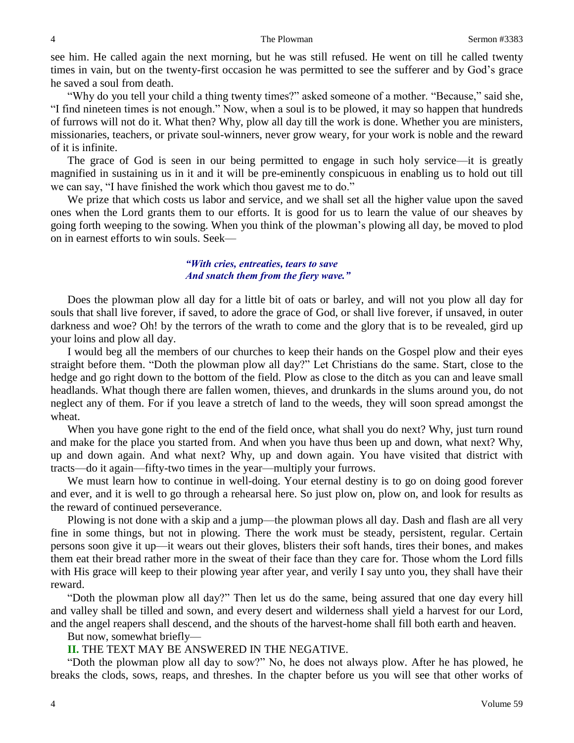see him. He called again the next morning, but he was still refused. He went on till he called twenty times in vain, but on the twenty-first occasion he was permitted to see the sufferer and by God's grace he saved a soul from death.

"Why do you tell your child a thing twenty times?" asked someone of a mother. "Because," said she, "I find nineteen times is not enough." Now, when a soul is to be plowed, it may so happen that hundreds of furrows will not do it. What then? Why, plow all day till the work is done. Whether you are ministers, missionaries, teachers, or private soul-winners, never grow weary, for your work is noble and the reward of it is infinite.

The grace of God is seen in our being permitted to engage in such holy service—it is greatly magnified in sustaining us in it and it will be pre-eminently conspicuous in enabling us to hold out till we can say, "I have finished the work which thou gavest me to do."

We prize that which costs us labor and service, and we shall set all the higher value upon the saved ones when the Lord grants them to our efforts. It is good for us to learn the value of our sheaves by going forth weeping to the sowing. When you think of the plowman's plowing all day, be moved to plod on in earnest efforts to win souls. Seek—

### *"With cries, entreaties, tears to save And snatch them from the fiery wave."*

Does the plowman plow all day for a little bit of oats or barley, and will not you plow all day for souls that shall live forever, if saved, to adore the grace of God, or shall live forever, if unsaved, in outer darkness and woe? Oh! by the terrors of the wrath to come and the glory that is to be revealed, gird up your loins and plow all day.

I would beg all the members of our churches to keep their hands on the Gospel plow and their eyes straight before them. "Doth the plowman plow all day?" Let Christians do the same. Start, close to the hedge and go right down to the bottom of the field. Plow as close to the ditch as you can and leave small headlands. What though there are fallen women, thieves, and drunkards in the slums around you, do not neglect any of them. For if you leave a stretch of land to the weeds, they will soon spread amongst the wheat.

When you have gone right to the end of the field once, what shall you do next? Why, just turn round and make for the place you started from. And when you have thus been up and down, what next? Why, up and down again. And what next? Why, up and down again. You have visited that district with tracts—do it again—fifty-two times in the year—multiply your furrows.

We must learn how to continue in well-doing. Your eternal destiny is to go on doing good forever and ever, and it is well to go through a rehearsal here. So just plow on, plow on, and look for results as the reward of continued perseverance.

Plowing is not done with a skip and a jump—the plowman plows all day. Dash and flash are all very fine in some things, but not in plowing. There the work must be steady, persistent, regular. Certain persons soon give it up—it wears out their gloves, blisters their soft hands, tires their bones, and makes them eat their bread rather more in the sweat of their face than they care for. Those whom the Lord fills with His grace will keep to their plowing year after year, and verily I say unto you, they shall have their reward.

"Doth the plowman plow all day?" Then let us do the same, being assured that one day every hill and valley shall be tilled and sown, and every desert and wilderness shall yield a harvest for our Lord, and the angel reapers shall descend, and the shouts of the harvest-home shall fill both earth and heaven.

But now, somewhat briefly—

#### **II.** THE TEXT MAY BE ANSWERED IN THE NEGATIVE.

"Doth the plowman plow all day to sow?" No, he does not always plow. After he has plowed, he breaks the clods, sows, reaps, and threshes. In the chapter before us you will see that other works of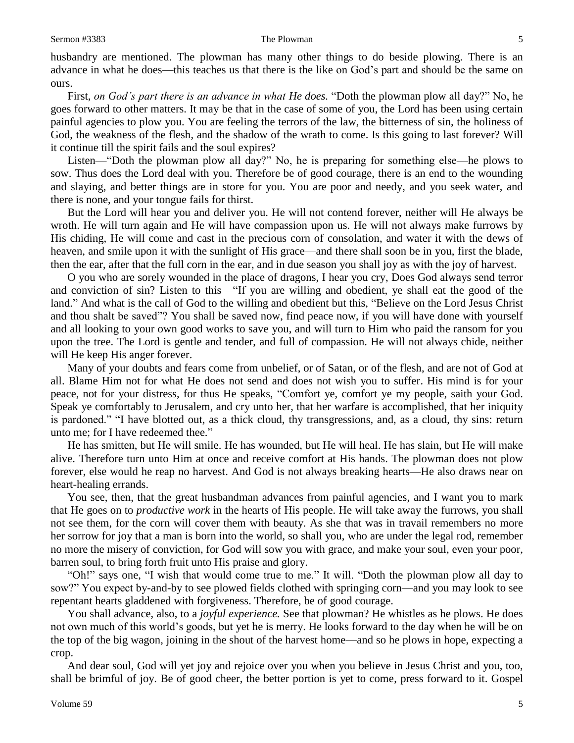husbandry are mentioned. The plowman has many other things to do beside plowing. There is an advance in what he does—this teaches us that there is the like on God's part and should be the same on ours.

First, *on God's part there is an advance in what He does.* "Doth the plowman plow all day?" No, he goes forward to other matters. It may be that in the case of some of you, the Lord has been using certain painful agencies to plow you. You are feeling the terrors of the law, the bitterness of sin, the holiness of God, the weakness of the flesh, and the shadow of the wrath to come. Is this going to last forever? Will it continue till the spirit fails and the soul expires?

Listen—"Doth the plowman plow all day?" No, he is preparing for something else—he plows to sow. Thus does the Lord deal with you. Therefore be of good courage, there is an end to the wounding and slaying, and better things are in store for you. You are poor and needy, and you seek water, and there is none, and your tongue fails for thirst.

But the Lord will hear you and deliver you. He will not contend forever, neither will He always be wroth. He will turn again and He will have compassion upon us. He will not always make furrows by His chiding, He will come and cast in the precious corn of consolation, and water it with the dews of heaven, and smile upon it with the sunlight of His grace—and there shall soon be in you, first the blade, then the ear, after that the full corn in the ear, and in due season you shall joy as with the joy of harvest.

O you who are sorely wounded in the place of dragons, I hear you cry, Does God always send terror and conviction of sin? Listen to this—"If you are willing and obedient, ye shall eat the good of the land." And what is the call of God to the willing and obedient but this, "Believe on the Lord Jesus Christ and thou shalt be saved"? You shall be saved now, find peace now, if you will have done with yourself and all looking to your own good works to save you, and will turn to Him who paid the ransom for you upon the tree. The Lord is gentle and tender, and full of compassion. He will not always chide, neither will He keep His anger forever.

Many of your doubts and fears come from unbelief, or of Satan, or of the flesh, and are not of God at all. Blame Him not for what He does not send and does not wish you to suffer. His mind is for your peace, not for your distress, for thus He speaks, "Comfort ye, comfort ye my people, saith your God. Speak ye comfortably to Jerusalem, and cry unto her, that her warfare is accomplished, that her iniquity is pardoned." "I have blotted out, as a thick cloud, thy transgressions, and, as a cloud, thy sins: return unto me; for I have redeemed thee."

He has smitten, but He will smile. He has wounded, but He will heal. He has slain, but He will make alive. Therefore turn unto Him at once and receive comfort at His hands. The plowman does not plow forever, else would he reap no harvest. And God is not always breaking hearts—He also draws near on heart-healing errands.

You see, then, that the great husbandman advances from painful agencies, and I want you to mark that He goes on to *productive work* in the hearts of His people. He will take away the furrows, you shall not see them, for the corn will cover them with beauty. As she that was in travail remembers no more her sorrow for joy that a man is born into the world, so shall you, who are under the legal rod, remember no more the misery of conviction, for God will sow you with grace, and make your soul, even your poor, barren soul, to bring forth fruit unto His praise and glory.

"Oh!" says one, "I wish that would come true to me." It will. "Doth the plowman plow all day to sow?" You expect by-and-by to see plowed fields clothed with springing corn—and you may look to see repentant hearts gladdened with forgiveness. Therefore, be of good courage.

You shall advance, also, to a *joyful experience.* See that plowman? He whistles as he plows. He does not own much of this world's goods, but yet he is merry. He looks forward to the day when he will be on the top of the big wagon, joining in the shout of the harvest home—and so he plows in hope, expecting a crop.

And dear soul, God will yet joy and rejoice over you when you believe in Jesus Christ and you, too, shall be brimful of joy. Be of good cheer, the better portion is yet to come, press forward to it. Gospel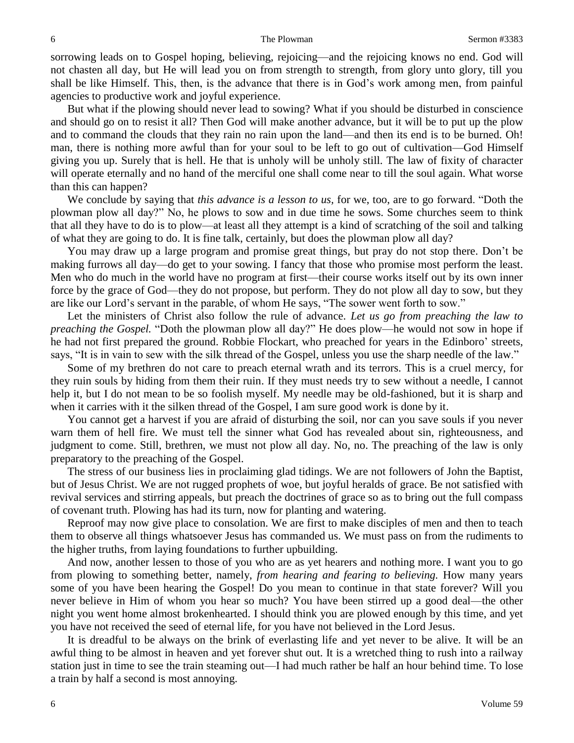sorrowing leads on to Gospel hoping, believing, rejoicing—and the rejoicing knows no end. God will not chasten all day, but He will lead you on from strength to strength, from glory unto glory, till you shall be like Himself. This, then, is the advance that there is in God's work among men, from painful agencies to productive work and joyful experience.

But what if the plowing should never lead to sowing? What if you should be disturbed in conscience and should go on to resist it all? Then God will make another advance, but it will be to put up the plow and to command the clouds that they rain no rain upon the land—and then its end is to be burned. Oh! man, there is nothing more awful than for your soul to be left to go out of cultivation—God Himself giving you up. Surely that is hell. He that is unholy will be unholy still. The law of fixity of character will operate eternally and no hand of the merciful one shall come near to till the soul again. What worse than this can happen?

We conclude by saying that *this advance is a lesson to us,* for we, too, are to go forward. "Doth the plowman plow all day?" No, he plows to sow and in due time he sows. Some churches seem to think that all they have to do is to plow—at least all they attempt is a kind of scratching of the soil and talking of what they are going to do. It is fine talk, certainly, but does the plowman plow all day?

You may draw up a large program and promise great things, but pray do not stop there. Don't be making furrows all day—do get to your sowing. I fancy that those who promise most perform the least. Men who do much in the world have no program at first—their course works itself out by its own inner force by the grace of God—they do not propose, but perform. They do not plow all day to sow, but they are like our Lord's servant in the parable, of whom He says, "The sower went forth to sow."

Let the ministers of Christ also follow the rule of advance. *Let us go from preaching the law to preaching the Gospel.* "Doth the plowman plow all day?" He does plow—he would not sow in hope if he had not first prepared the ground. Robbie Flockart, who preached for years in the Edinboro' streets, says, "It is in vain to sew with the silk thread of the Gospel, unless you use the sharp needle of the law."

Some of my brethren do not care to preach eternal wrath and its terrors. This is a cruel mercy, for they ruin souls by hiding from them their ruin. If they must needs try to sew without a needle, I cannot help it, but I do not mean to be so foolish myself. My needle may be old-fashioned, but it is sharp and when it carries with it the silken thread of the Gospel, I am sure good work is done by it.

You cannot get a harvest if you are afraid of disturbing the soil, nor can you save souls if you never warn them of hell fire. We must tell the sinner what God has revealed about sin, righteousness, and judgment to come. Still, brethren, we must not plow all day. No, no. The preaching of the law is only preparatory to the preaching of the Gospel.

The stress of our business lies in proclaiming glad tidings. We are not followers of John the Baptist, but of Jesus Christ. We are not rugged prophets of woe, but joyful heralds of grace. Be not satisfied with revival services and stirring appeals, but preach the doctrines of grace so as to bring out the full compass of covenant truth. Plowing has had its turn, now for planting and watering.

Reproof may now give place to consolation. We are first to make disciples of men and then to teach them to observe all things whatsoever Jesus has commanded us. We must pass on from the rudiments to the higher truths, from laying foundations to further upbuilding.

And now, another lessen to those of you who are as yet hearers and nothing more. I want you to go from plowing to something better, namely, *from hearing and fearing to believing.* How many years some of you have been hearing the Gospel! Do you mean to continue in that state forever? Will you never believe in Him of whom you hear so much? You have been stirred up a good deal—the other night you went home almost brokenhearted. I should think you are plowed enough by this time, and yet you have not received the seed of eternal life, for you have not believed in the Lord Jesus.

It is dreadful to be always on the brink of everlasting life and yet never to be alive. It will be an awful thing to be almost in heaven and yet forever shut out. It is a wretched thing to rush into a railway station just in time to see the train steaming out—I had much rather be half an hour behind time. To lose a train by half a second is most annoying.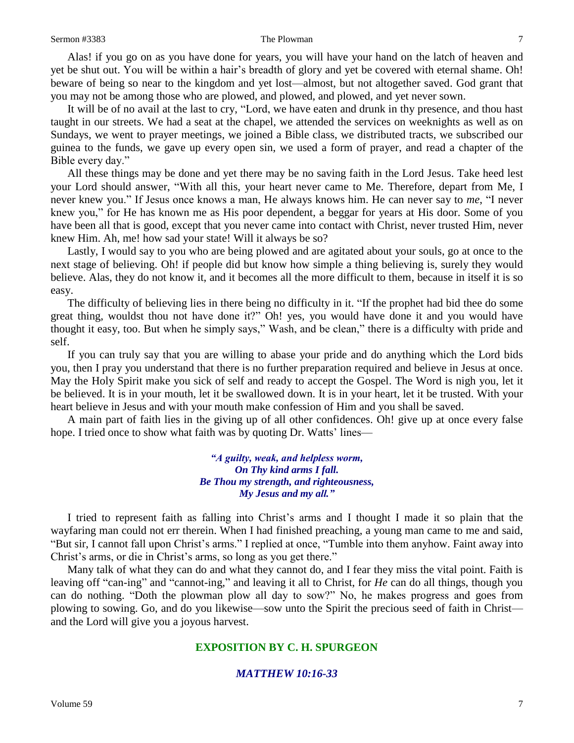Alas! if you go on as you have done for years, you will have your hand on the latch of heaven and yet be shut out. You will be within a hair's breadth of glory and yet be covered with eternal shame. Oh! beware of being so near to the kingdom and yet lost—almost, but not altogether saved. God grant that you may not be among those who are plowed, and plowed, and plowed, and yet never sown.

It will be of no avail at the last to cry, "Lord, we have eaten and drunk in thy presence, and thou hast taught in our streets. We had a seat at the chapel, we attended the services on weeknights as well as on Sundays, we went to prayer meetings, we joined a Bible class, we distributed tracts, we subscribed our guinea to the funds, we gave up every open sin, we used a form of prayer, and read a chapter of the Bible every day."

All these things may be done and yet there may be no saving faith in the Lord Jesus. Take heed lest your Lord should answer, "With all this, your heart never came to Me. Therefore, depart from Me, I never knew you." If Jesus once knows a man, He always knows him. He can never say to *me*, "I never knew you," for He has known me as His poor dependent, a beggar for years at His door. Some of you have been all that is good, except that you never came into contact with Christ, never trusted Him, never knew Him. Ah, me! how sad your state! Will it always be so?

Lastly, I would say to you who are being plowed and are agitated about your souls, go at once to the next stage of believing. Oh! if people did but know how simple a thing believing is, surely they would believe. Alas, they do not know it, and it becomes all the more difficult to them, because in itself it is so easy.

The difficulty of believing lies in there being no difficulty in it. "If the prophet had bid thee do some great thing, wouldst thou not have done it?" Oh! yes, you would have done it and you would have thought it easy, too. But when he simply says," Wash, and be clean," there is a difficulty with pride and self.

If you can truly say that you are willing to abase your pride and do anything which the Lord bids you, then I pray you understand that there is no further preparation required and believe in Jesus at once. May the Holy Spirit make you sick of self and ready to accept the Gospel. The Word is nigh you, let it be believed. It is in your mouth, let it be swallowed down. It is in your heart, let it be trusted. With your heart believe in Jesus and with your mouth make confession of Him and you shall be saved.

A main part of faith lies in the giving up of all other confidences. Oh! give up at once every false hope. I tried once to show what faith was by quoting Dr. Watts' lines—

> *"A guilty, weak, and helpless worm, On Thy kind arms I fall. Be Thou my strength, and righteousness, My Jesus and my all."*

I tried to represent faith as falling into Christ's arms and I thought I made it so plain that the wayfaring man could not err therein. When I had finished preaching, a young man came to me and said, "But sir, I cannot fall upon Christ's arms." I replied at once, "Tumble into them anyhow. Faint away into Christ's arms, or die in Christ's arms, so long as you get there."

Many talk of what they can do and what they cannot do, and I fear they miss the vital point. Faith is leaving off "can-ing" and "cannot-ing," and leaving it all to Christ, for *He* can do all things, though you can do nothing. "Doth the plowman plow all day to sow?" No, he makes progress and goes from plowing to sowing. Go, and do you likewise—sow unto the Spirit the precious seed of faith in Christ and the Lord will give you a joyous harvest.

### **EXPOSITION BY C. H. SPURGEON**

### *MATTHEW 10:16-33*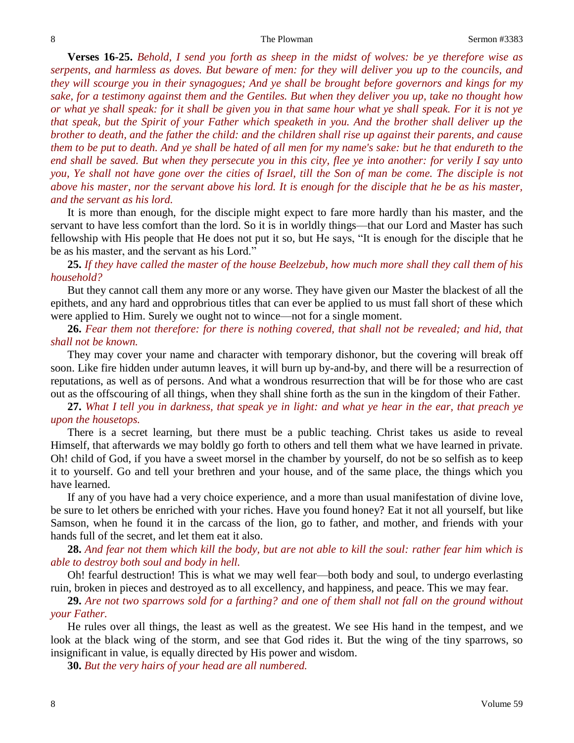**Verses 16-25.** *Behold, I send you forth as sheep in the midst of wolves: be ye therefore wise as serpents, and harmless as doves. But beware of men: for they will deliver you up to the councils, and they will scourge you in their synagogues; And ye shall be brought before governors and kings for my sake, for a testimony against them and the Gentiles. But when they deliver you up, take no thought how or what ye shall speak: for it shall be given you in that same hour what ye shall speak. For it is not ye that speak, but the Spirit of your Father which speaketh in you. And the brother shall deliver up the brother to death, and the father the child: and the children shall rise up against their parents, and cause them to be put to death. And ye shall be hated of all men for my name's sake: but he that endureth to the end shall be saved. But when they persecute you in this city, flee ye into another: for verily I say unto you, Ye shall not have gone over the cities of Israel, till the Son of man be come. The disciple is not above his master, nor the servant above his lord. It is enough for the disciple that he be as his master, and the servant as his lord.*

It is more than enough, for the disciple might expect to fare more hardly than his master, and the servant to have less comfort than the lord. So it is in worldly things—that our Lord and Master has such fellowship with His people that He does not put it so, but He says, "It is enough for the disciple that he be as his master, and the servant as his Lord."

**25.** *If they have called the master of the house Beelzebub, how much more shall they call them of his household?*

But they cannot call them any more or any worse. They have given our Master the blackest of all the epithets, and any hard and opprobrious titles that can ever be applied to us must fall short of these which were applied to Him. Surely we ought not to wince—not for a single moment.

**26.** *Fear them not therefore: for there is nothing covered, that shall not be revealed; and hid, that shall not be known.*

They may cover your name and character with temporary dishonor, but the covering will break off soon. Like fire hidden under autumn leaves, it will burn up by-and-by, and there will be a resurrection of reputations, as well as of persons. And what a wondrous resurrection that will be for those who are cast out as the offscouring of all things, when they shall shine forth as the sun in the kingdom of their Father.

**27.** *What I tell you in darkness, that speak ye in light: and what ye hear in the ear, that preach ye upon the housetops.*

There is a secret learning, but there must be a public teaching. Christ takes us aside to reveal Himself, that afterwards we may boldly go forth to others and tell them what we have learned in private. Oh! child of God, if you have a sweet morsel in the chamber by yourself, do not be so selfish as to keep it to yourself. Go and tell your brethren and your house, and of the same place, the things which you have learned.

If any of you have had a very choice experience, and a more than usual manifestation of divine love, be sure to let others be enriched with your riches. Have you found honey? Eat it not all yourself, but like Samson, when he found it in the carcass of the lion, go to father, and mother, and friends with your hands full of the secret, and let them eat it also.

### **28.** *And fear not them which kill the body, but are not able to kill the soul: rather fear him which is able to destroy both soul and body in hell.*

Oh! fearful destruction! This is what we may well fear—both body and soul, to undergo everlasting ruin, broken in pieces and destroyed as to all excellency, and happiness, and peace. This we may fear.

**29.** *Are not two sparrows sold for a farthing? and one of them shall not fall on the ground without your Father.*

He rules over all things, the least as well as the greatest. We see His hand in the tempest, and we look at the black wing of the storm, and see that God rides it. But the wing of the tiny sparrows, so insignificant in value, is equally directed by His power and wisdom.

**30.** *But the very hairs of your head are all numbered.*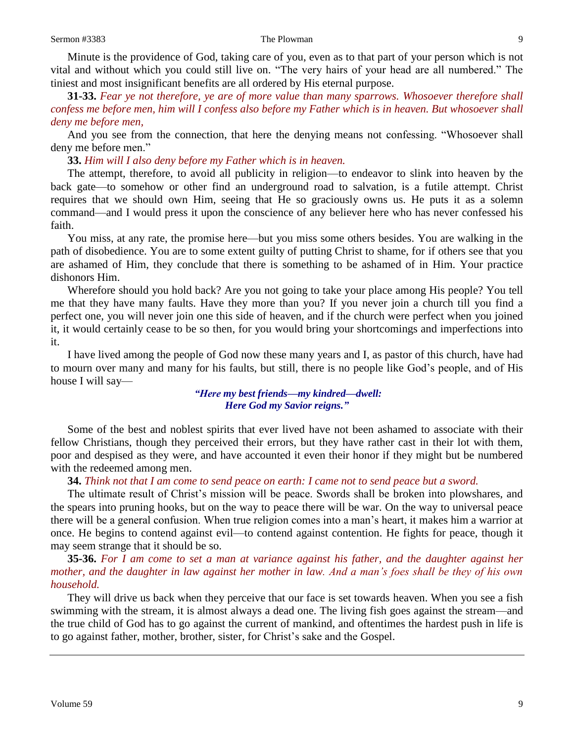Minute is the providence of God, taking care of you, even as to that part of your person which is not vital and without which you could still live on. "The very hairs of your head are all numbered." The tiniest and most insignificant benefits are all ordered by His eternal purpose.

**31-33.** *Fear ye not therefore, ye are of more value than many sparrows. Whosoever therefore shall confess me before men, him will I confess also before my Father which is in heaven. But whosoever shall deny me before men,*

And you see from the connection, that here the denying means not confessing. "Whosoever shall deny me before men."

**33.** *Him will I also deny before my Father which is in heaven.* 

The attempt, therefore, to avoid all publicity in religion—to endeavor to slink into heaven by the back gate—to somehow or other find an underground road to salvation, is a futile attempt. Christ requires that we should own Him, seeing that He so graciously owns us. He puts it as a solemn command—and I would press it upon the conscience of any believer here who has never confessed his faith.

You miss, at any rate, the promise here—but you miss some others besides. You are walking in the path of disobedience. You are to some extent guilty of putting Christ to shame, for if others see that you are ashamed of Him, they conclude that there is something to be ashamed of in Him. Your practice dishonors Him.

Wherefore should you hold back? Are you not going to take your place among His people? You tell me that they have many faults. Have they more than you? If you never join a church till you find a perfect one, you will never join one this side of heaven, and if the church were perfect when you joined it, it would certainly cease to be so then, for you would bring your shortcomings and imperfections into it.

I have lived among the people of God now these many years and I, as pastor of this church, have had to mourn over many and many for his faults, but still, there is no people like God's people, and of His house I will say—

> *"Here my best friends—my kindred—dwell: Here God my Savior reigns."*

Some of the best and noblest spirits that ever lived have not been ashamed to associate with their fellow Christians, though they perceived their errors, but they have rather cast in their lot with them, poor and despised as they were, and have accounted it even their honor if they might but be numbered with the redeemed among men.

**34.** *Think not that I am come to send peace on earth: I came not to send peace but a sword.*

The ultimate result of Christ's mission will be peace. Swords shall be broken into plowshares, and the spears into pruning hooks, but on the way to peace there will be war. On the way to universal peace there will be a general confusion. When true religion comes into a man's heart, it makes him a warrior at once. He begins to contend against evil—to contend against contention. He fights for peace, though it may seem strange that it should be so.

**35-36.** *For I am come to set a man at variance against his father, and the daughter against her mother, and the daughter in law against her mother in law. And a man's foes shall be they of his own household.*

They will drive us back when they perceive that our face is set towards heaven. When you see a fish swimming with the stream, it is almost always a dead one. The living fish goes against the stream—and the true child of God has to go against the current of mankind, and oftentimes the hardest push in life is to go against father, mother, brother, sister, for Christ's sake and the Gospel.